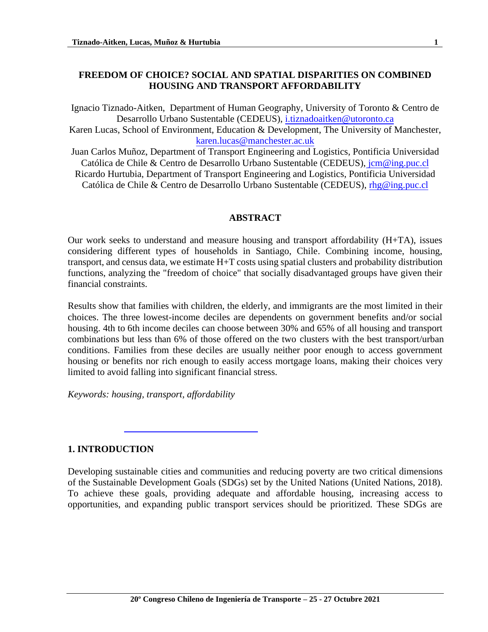### **FREEDOM OF CHOICE? SOCIAL AND SPATIAL DISPARITIES ON COMBINED HOUSING AND TRANSPORT AFFORDABILITY**

Ignacio Tiznado-Aitken, Department of Human Geography, University of Toronto & Centro de Desarrollo Urbano Sustentable (CEDEUS), [i.tiznadoaitken@utoronto.ca](mailto:i.tiznadoaitken@utoronto.ca) Karen Lucas, School of Environment, Education & Development, The University of Manchester, [karen.lucas@manchester.ac.uk](mailto:karen.lucas@manchester.ac.uk)

Juan Carlos Muñoz, Department of Transport Engineering and Logistics, Pontificia Universidad Católica de Chile & Centro de Desarrollo Urbano Sustentable (CEDEUS), [jcm@ing.puc.cl](mailto:jcm@ing.puc.cl) Ricardo Hurtubia, Department of Transport Engineering and Logistics, Pontificia Universidad Católica de Chile & Centro de Desarrollo Urbano Sustentable (CEDEUS), [rhg@ing.puc.cl](mailto:rhg@ing.puc.cl)

#### **ABSTRACT**

Our work seeks to understand and measure housing and transport affordability (H+TA), issues considering different types of households in Santiago, Chile. Combining income, housing, transport, and census data, we estimate H+T costs using spatial clusters and probability distribution functions, analyzing the "freedom of choice" that socially disadvantaged groups have given their financial constraints.

Results show that families with children, the elderly, and immigrants are the most limited in their choices. The three lowest-income deciles are dependents on government benefits and/or social housing. 4th to 6th income deciles can choose between 30% and 65% of all housing and transport combinations but less than 6% of those offered on the two clusters with the best transport/urban conditions. Families from these deciles are usually neither poor enough to access government housing or benefits nor rich enough to easily access mortgage loans, making their choices very limited to avoid falling into significant financial stress.

*Keywords: housing, transport, affordability* 

#### **1. INTRODUCTION**

Developing sustainable cities and communities and reducing poverty are two critical dimensions of the Sustainable Development Goals (SDGs) set by the United Nations (United Nations, 2018). To achieve these goals, providing adequate and affordable housing, increasing access to opportunities, and expanding public transport services should be prioritized. These SDGs are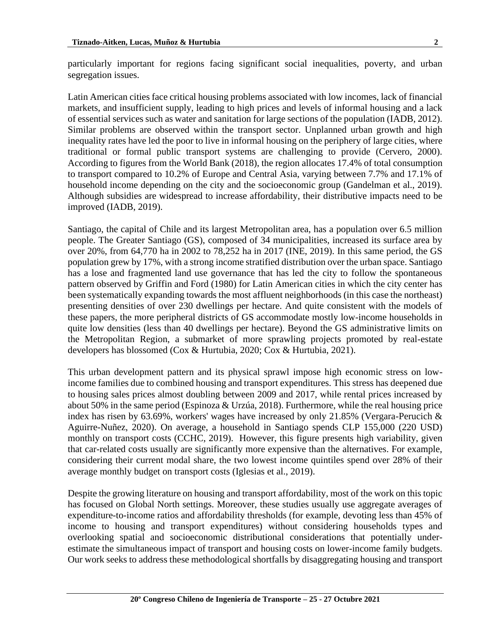particularly important for regions facing significant social inequalities, poverty, and urban segregation issues.

Latin American cities face critical housing problems associated with low incomes, lack of financial markets, and insufficient supply, leading to high prices and levels of informal housing and a lack of essential services such as water and sanitation for large sections of the population (IADB, 2012). Similar problems are observed within the transport sector. Unplanned urban growth and high inequality rates have led the poor to live in informal housing on the periphery of large cities, where traditional or formal public transport systems are challenging to provide (Cervero, 2000). According to figures from the World Bank (2018), the region allocates 17.4% of total consumption to transport compared to 10.2% of Europe and Central Asia, varying between 7.7% and 17.1% of household income depending on the city and the socioeconomic group (Gandelman et al., 2019). Although subsidies are widespread to increase affordability, their distributive impacts need to be improved (IADB, 2019).

Santiago, the capital of Chile and its largest Metropolitan area, has a population over 6.5 million people. The Greater Santiago (GS), composed of 34 municipalities, increased its surface area by over 20%, from 64,770 ha in 2002 to 78,252 ha in 2017 (INE, 2019). In this same period, the GS population grew by 17%, with a strong income stratified distribution over the urban space. Santiago has a lose and fragmented land use governance that has led the city to follow the spontaneous pattern observed by Griffin and Ford (1980) for Latin American cities in which the city center has been systematically expanding towards the most affluent neighborhoods (in this case the northeast) presenting densities of over 230 dwellings per hectare. And quite consistent with the models of these papers, the more peripheral districts of GS accommodate mostly low-income households in quite low densities (less than 40 dwellings per hectare). Beyond the GS administrative limits on the Metropolitan Region, a submarket of more sprawling projects promoted by real-estate developers has blossomed (Cox & Hurtubia, 2020; Cox & Hurtubia, 2021).

This urban development pattern and its physical sprawl impose high economic stress on lowincome families due to combined housing and transport expenditures. This stress has deepened due to housing sales prices almost doubling between 2009 and 2017, while rental prices increased by about 50% in the same period (Espinoza & Urzúa, 2018). Furthermore, while the real housing price index has risen by 63.69%, workers' wages have increased by only 21.85% (Vergara-Perucich & Aguirre-Nuñez, 2020). On average, a household in Santiago spends CLP 155,000 (220 USD) monthly on transport costs (CCHC, 2019). However, this figure presents high variability, given that car-related costs usually are significantly more expensive than the alternatives. For example, considering their current modal share, the two lowest income quintiles spend over 28% of their average monthly budget on transport costs (Iglesias et al., 2019).

Despite the growing literature on housing and transport affordability, most of the work on this topic has focused on Global North settings. Moreover, these studies usually use aggregate averages of expenditure-to-income ratios and affordability thresholds (for example, devoting less than 45% of income to housing and transport expenditures) without considering households types and overlooking spatial and socioeconomic distributional considerations that potentially underestimate the simultaneous impact of transport and housing costs on lower-income family budgets. Our work seeks to address these methodological shortfalls by disaggregating housing and transport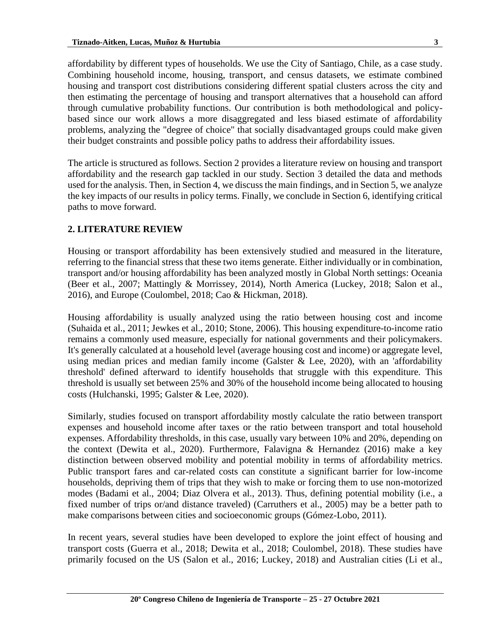affordability by different types of households. We use the City of Santiago, Chile, as a case study. Combining household income, housing, transport, and census datasets, we estimate combined housing and transport cost distributions considering different spatial clusters across the city and then estimating the percentage of housing and transport alternatives that a household can afford through cumulative probability functions. Our contribution is both methodological and policybased since our work allows a more disaggregated and less biased estimate of affordability problems, analyzing the "degree of choice" that socially disadvantaged groups could make given their budget constraints and possible policy paths to address their affordability issues.

The article is structured as follows. Section 2 provides a literature review on housing and transport affordability and the research gap tackled in our study. Section 3 detailed the data and methods used for the analysis. Then, in Section 4, we discuss the main findings, and in Section 5, we analyze the key impacts of our results in policy terms. Finally, we conclude in Section 6, identifying critical paths to move forward.

## **2. LITERATURE REVIEW**

Housing or transport affordability has been extensively studied and measured in the literature, referring to the financial stress that these two items generate. Either individually or in combination, transport and/or housing affordability has been analyzed mostly in Global North settings: Oceania (Beer et al., 2007; Mattingly & Morrissey, 2014), North America (Luckey, 2018; Salon et al., 2016), and Europe (Coulombel, 2018; Cao & Hickman, 2018).

Housing affordability is usually analyzed using the ratio between housing cost and income (Suhaida et al., 2011; Jewkes et al., 2010; Stone, 2006). This housing expenditure-to-income ratio remains a commonly used measure, especially for national governments and their policymakers. It's generally calculated at a household level (average housing cost and income) or aggregate level, using median prices and median family income (Galster  $\&$  Lee, 2020), with an 'affordability threshold' defined afterward to identify households that struggle with this expenditure. This threshold is usually set between 25% and 30% of the household income being allocated to housing costs (Hulchanski, 1995; Galster & Lee, 2020).

Similarly, studies focused on transport affordability mostly calculate the ratio between transport expenses and household income after taxes or the ratio between transport and total household expenses. Affordability thresholds, in this case, usually vary between 10% and 20%, depending on the context (Dewita et al., 2020). Furthermore, Falavigna & Hernandez (2016) make a key distinction between observed mobility and potential mobility in terms of affordability metrics. Public transport fares and car-related costs can constitute a significant barrier for low-income households, depriving them of trips that they wish to make or forcing them to use non-motorized modes (Badami et al., 2004; Diaz Olvera et al., 2013). Thus, defining potential mobility (i.e., a fixed number of trips or/and distance traveled) (Carruthers et al., 2005) may be a better path to make comparisons between cities and socioeconomic groups (Gómez-Lobo, 2011).

In recent years, several studies have been developed to explore the joint effect of housing and transport costs (Guerra et al., 2018; Dewita et al., 2018; Coulombel, 2018). These studies have primarily focused on the US (Salon et al., 2016; Luckey, 2018) and Australian cities (Li et al.,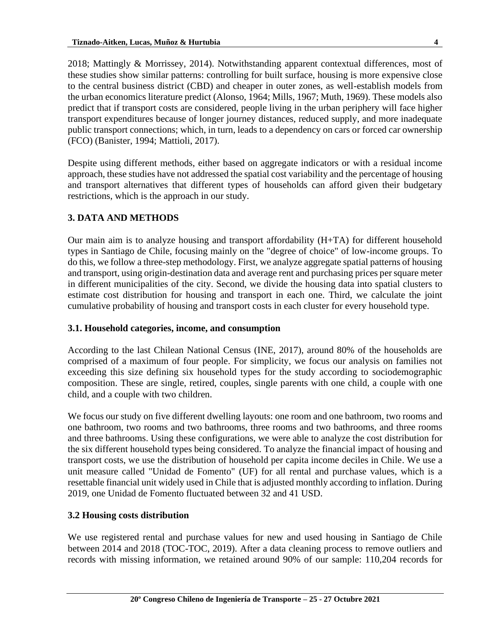2018; Mattingly & Morrissey, 2014). Notwithstanding apparent contextual differences, most of these studies show similar patterns: controlling for built surface, housing is more expensive close to the central business district (CBD) and cheaper in outer zones, as well-establish models from the urban economics literature predict (Alonso, 1964; Mills, 1967; Muth, 1969). These models also predict that if transport costs are considered, people living in the urban periphery will face higher transport expenditures because of longer journey distances, reduced supply, and more inadequate public transport connections; which, in turn, leads to a dependency on cars or forced car ownership (FCO) (Banister, 1994; Mattioli, 2017).

Despite using different methods, either based on aggregate indicators or with a residual income approach, these studies have not addressed the spatial cost variability and the percentage of housing and transport alternatives that different types of households can afford given their budgetary restrictions, which is the approach in our study.

# **3. DATA AND METHODS**

Our main aim is to analyze housing and transport affordability (H+TA) for different household types in Santiago de Chile, focusing mainly on the "degree of choice" of low-income groups. To do this, we follow a three-step methodology. First, we analyze aggregate spatial patterns of housing and transport, using origin-destination data and average rent and purchasing prices per square meter in different municipalities of the city. Second, we divide the housing data into spatial clusters to estimate cost distribution for housing and transport in each one. Third, we calculate the joint cumulative probability of housing and transport costs in each cluster for every household type.

#### **3.1. Household categories, income, and consumption**

According to the last Chilean National Census (INE, 2017), around 80% of the households are comprised of a maximum of four people. For simplicity, we focus our analysis on families not exceeding this size defining six household types for the study according to sociodemographic composition. These are single, retired, couples, single parents with one child, a couple with one child, and a couple with two children.

We focus our study on five different dwelling layouts: one room and one bathroom, two rooms and one bathroom, two rooms and two bathrooms, three rooms and two bathrooms, and three rooms and three bathrooms. Using these configurations, we were able to analyze the cost distribution for the six different household types being considered. To analyze the financial impact of housing and transport costs, we use the distribution of household per capita income deciles in Chile. We use a unit measure called "Unidad de Fomento" (UF) for all rental and purchase values, which is a resettable financial unit widely used in Chile that is adjusted monthly according to inflation. During 2019, one Unidad de Fomento fluctuated between 32 and 41 USD.

## **3.2 Housing costs distribution**

We use registered rental and purchase values for new and used housing in Santiago de Chile between 2014 and 2018 (TOC-TOC, 2019). After a data cleaning process to remove outliers and records with missing information, we retained around 90% of our sample: 110,204 records for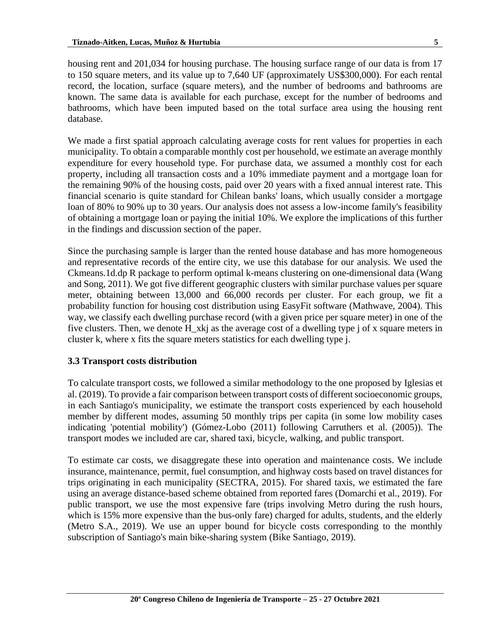housing rent and 201,034 for housing purchase. The housing surface range of our data is from 17 to 150 square meters, and its value up to 7,640 UF (approximately US\$300,000). For each rental record, the location, surface (square meters), and the number of bedrooms and bathrooms are known. The same data is available for each purchase, except for the number of bedrooms and bathrooms, which have been imputed based on the total surface area using the housing rent database.

We made a first spatial approach calculating average costs for rent values for properties in each municipality. To obtain a comparable monthly cost per household, we estimate an average monthly expenditure for every household type. For purchase data, we assumed a monthly cost for each property, including all transaction costs and a 10% immediate payment and a mortgage loan for the remaining 90% of the housing costs, paid over 20 years with a fixed annual interest rate. This financial scenario is quite standard for Chilean banks' loans, which usually consider a mortgage loan of 80% to 90% up to 30 years. Our analysis does not assess a low-income family's feasibility of obtaining a mortgage loan or paying the initial 10%. We explore the implications of this further in the findings and discussion section of the paper.

Since the purchasing sample is larger than the rented house database and has more homogeneous and representative records of the entire city, we use this database for our analysis. We used the Ckmeans.1d.dp R package to perform optimal k-means clustering on one-dimensional data (Wang and Song, 2011). We got five different geographic clusters with similar purchase values per square meter, obtaining between 13,000 and 66,000 records per cluster. For each group, we fit a probability function for housing cost distribution using EasyFit software (Mathwave, 2004). This way, we classify each dwelling purchase record (with a given price per square meter) in one of the five clusters. Then, we denote H\_xkj as the average cost of a dwelling type j of x square meters in cluster k, where x fits the square meters statistics for each dwelling type j.

## **3.3 Transport costs distribution**

To calculate transport costs, we followed a similar methodology to the one proposed by Iglesias et al. (2019). To provide a fair comparison between transport costs of different socioeconomic groups, in each Santiago's municipality, we estimate the transport costs experienced by each household member by different modes, assuming 50 monthly trips per capita (in some low mobility cases indicating 'potential mobility') (Gómez-Lobo (2011) following Carruthers et al. (2005)). The transport modes we included are car, shared taxi, bicycle, walking, and public transport.

To estimate car costs, we disaggregate these into operation and maintenance costs. We include insurance, maintenance, permit, fuel consumption, and highway costs based on travel distances for trips originating in each municipality (SECTRA, 2015). For shared taxis, we estimated the fare using an average distance-based scheme obtained from reported fares (Domarchi et al., 2019). For public transport, we use the most expensive fare (trips involving Metro during the rush hours, which is 15% more expensive than the bus-only fare) charged for adults, students, and the elderly (Metro S.A., 2019). We use an upper bound for bicycle costs corresponding to the monthly subscription of Santiago's main bike-sharing system (Bike Santiago, 2019).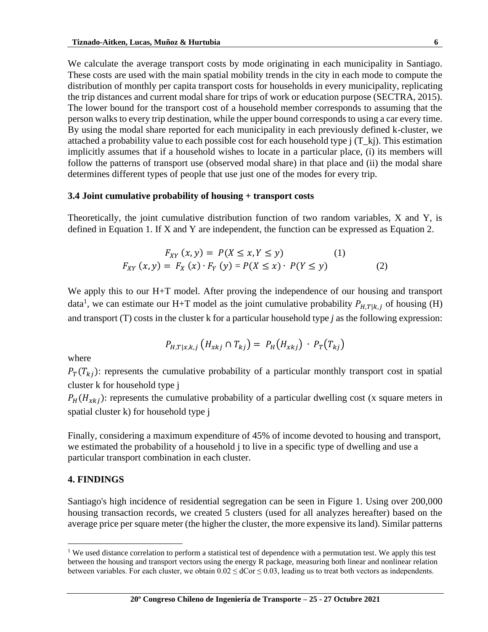We calculate the average transport costs by mode originating in each municipality in Santiago. These costs are used with the main spatial mobility trends in the city in each mode to compute the distribution of monthly per capita transport costs for households in every municipality, replicating the trip distances and current modal share for trips of work or education purpose (SECTRA, 2015). The lower bound for the transport cost of a household member corresponds to assuming that the person walks to every trip destination, while the upper bound corresponds to using a car every time. By using the modal share reported for each municipality in each previously defined k-cluster, we attached a probability value to each possible cost for each household type  $j(T_k)$ . This estimation implicitly assumes that if a household wishes to locate in a particular place, (i) its members will follow the patterns of transport use (observed modal share) in that place and (ii) the modal share determines different types of people that use just one of the modes for every trip.

#### **3.4 Joint cumulative probability of housing + transport costs**

Theoretically, the joint cumulative distribution function of two random variables, X and Y, is defined in Equation 1. If X and Y are independent, the function can be expressed as Equation 2.

$$
F_{XY}(x, y) = P(X \le x, Y \le y)
$$
(1)  

$$
F_{XY}(x, y) = F_X(x) \cdot F_Y(y) = P(X \le x) \cdot P(Y \le y)
$$
(2)

We apply this to our H+T model. After proving the independence of our housing and transport data<sup>1</sup>, we can estimate our H+T model as the joint cumulative probability  $P_{H,T|k,j}$  of housing (H) and transport (T) costs in the cluster k for a particular household type *j* as the following expression:

$$
P_{H,T|x,k,j}(H_{xkj} \cap T_{kj}) = P_H(H_{xkj}) \cdot P_T(T_{kj})
$$

where

 $P_T(T_{ki})$ : represents the cumulative probability of a particular monthly transport cost in spatial cluster k for household type j

 $P_H(H_{xki})$ : represents the cumulative probability of a particular dwelling cost (x square meters in spatial cluster k) for household type j

Finally, considering a maximum expenditure of 45% of income devoted to housing and transport, we estimated the probability of a household j to live in a specific type of dwelling and use a particular transport combination in each cluster.

#### **4. FINDINGS**

Santiago's high incidence of residential segregation can be seen in Figure 1. Using over 200,000 housing transaction records, we created 5 clusters (used for all analyzes hereafter) based on the average price per square meter (the higher the cluster, the more expensive its land). Similar patterns

<sup>&</sup>lt;sup>1</sup> We used distance correlation to perform a statistical test of dependence with a permutation test. We apply this test between the housing and transport vectors using the energy R package, measuring both linear and nonlinear relation between variables. For each cluster, we obtain  $0.02 \leq d$ Cor $\leq 0.03$ , leading us to treat both vectors as independents.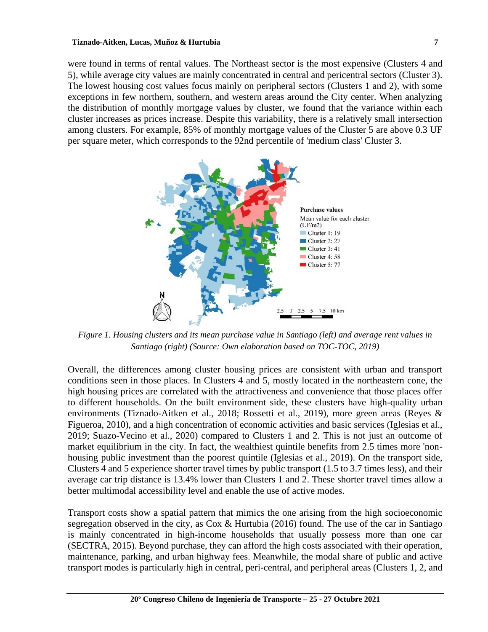were found in terms of rental values. The Northeast sector is the most expensive (Clusters 4 and 5), while average city values are mainly concentrated in central and pericentral sectors (Cluster 3). The lowest housing cost values focus mainly on peripheral sectors (Clusters 1 and 2), with some exceptions in few northern, southern, and western areas around the City center. When analyzing the distribution of monthly mortgage values by cluster, we found that the variance within each cluster increases as prices increase. Despite this variability, there is a relatively small intersection among clusters. For example, 85% of monthly mortgage values of the Cluster 5 are above 0.3 UF per square meter, which corresponds to the 92nd percentile of 'medium class' Cluster 3.



*Figure 1. Housing clusters and its mean purchase value in Santiago (left) and average rent values in Santiago (right) (Source: Own elaboration based on TOC-TOC, 2019)*

Overall, the differences among cluster housing prices are consistent with urban and transport conditions seen in those places. In Clusters 4 and 5, mostly located in the northeastern cone, the high housing prices are correlated with the attractiveness and convenience that those places offer to different households. On the built environment side, these clusters have high-quality urban environments (Tiznado-Aitken et al., 2018; Rossetti et al., 2019), more green areas (Reyes & Figueroa, 2010), and a high concentration of economic activities and basic services (Iglesias et al., 2019; Suazo-Vecino et al., 2020) compared to Clusters 1 and 2. This is not just an outcome of market equilibrium in the city. In fact, the wealthiest quintile benefits from 2.5 times more 'nonhousing public investment than the poorest quintile (Iglesias et al., 2019). On the transport side, Clusters 4 and 5 experience shorter travel times by public transport (1.5 to 3.7 times less), and their average car trip distance is 13.4% lower than Clusters 1 and 2. These shorter travel times allow a better multimodal accessibility level and enable the use of active modes.

Transport costs show a spatial pattern that mimics the one arising from the high socioeconomic segregation observed in the city, as Cox & Hurtubia (2016) found. The use of the car in Santiago is mainly concentrated in high-income households that usually possess more than one car (SECTRA, 2015). Beyond purchase, they can afford the high costs associated with their operation, maintenance, parking, and urban highway fees. Meanwhile, the modal share of public and active transport modes is particularly high in central, peri-central, and peripheral areas (Clusters 1, 2, and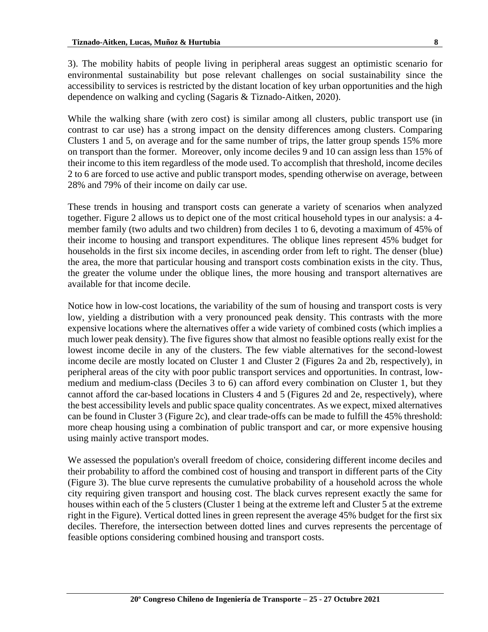3). The mobility habits of people living in peripheral areas suggest an optimistic scenario for environmental sustainability but pose relevant challenges on social sustainability since the accessibility to services is restricted by the distant location of key urban opportunities and the high dependence on walking and cycling (Sagaris & Tiznado-Aitken, 2020).

While the walking share (with zero cost) is similar among all clusters, public transport use (in contrast to car use) has a strong impact on the density differences among clusters. Comparing Clusters 1 and 5, on average and for the same number of trips, the latter group spends 15% more on transport than the former. Moreover, only income deciles 9 and 10 can assign less than 15% of their income to this item regardless of the mode used. To accomplish that threshold, income deciles 2 to 6 are forced to use active and public transport modes, spending otherwise on average, between 28% and 79% of their income on daily car use.

These trends in housing and transport costs can generate a variety of scenarios when analyzed together. Figure 2 allows us to depict one of the most critical household types in our analysis: a 4 member family (two adults and two children) from deciles 1 to 6, devoting a maximum of 45% of their income to housing and transport expenditures. The oblique lines represent 45% budget for households in the first six income deciles, in ascending order from left to right. The denser (blue) the area, the more that particular housing and transport costs combination exists in the city. Thus, the greater the volume under the oblique lines, the more housing and transport alternatives are available for that income decile.

Notice how in low-cost locations, the variability of the sum of housing and transport costs is very low, yielding a distribution with a very pronounced peak density. This contrasts with the more expensive locations where the alternatives offer a wide variety of combined costs (which implies a much lower peak density). The five figures show that almost no feasible options really exist for the lowest income decile in any of the clusters. The few viable alternatives for the second-lowest income decile are mostly located on Cluster 1 and Cluster 2 (Figures 2a and 2b, respectively), in peripheral areas of the city with poor public transport services and opportunities. In contrast, lowmedium and medium-class (Deciles 3 to 6) can afford every combination on Cluster 1, but they cannot afford the car-based locations in Clusters 4 and 5 (Figures 2d and 2e, respectively), where the best accessibility levels and public space quality concentrates. As we expect, mixed alternatives can be found in Cluster 3 (Figure 2c), and clear trade-offs can be made to fulfill the 45% threshold: more cheap housing using a combination of public transport and car, or more expensive housing using mainly active transport modes.

We assessed the population's overall freedom of choice, considering different income deciles and their probability to afford the combined cost of housing and transport in different parts of the City (Figure 3). The blue curve represents the cumulative probability of a household across the whole city requiring given transport and housing cost. The black curves represent exactly the same for houses within each of the 5 clusters (Cluster 1 being at the extreme left and Cluster 5 at the extreme right in the Figure). Vertical dotted lines in green represent the average 45% budget for the first six deciles. Therefore, the intersection between dotted lines and curves represents the percentage of feasible options considering combined housing and transport costs.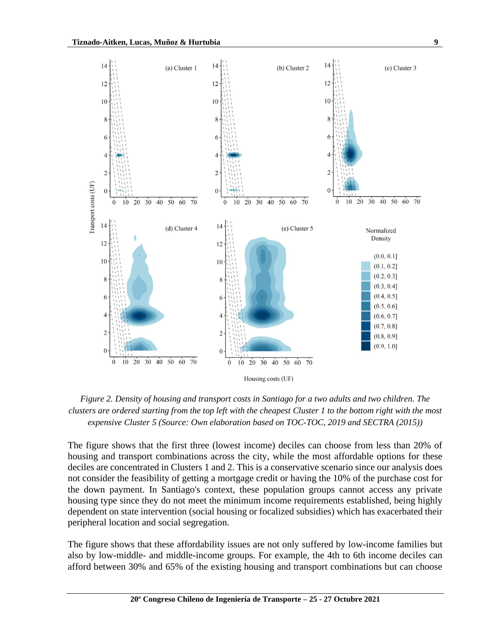

*Figure 2. Density of housing and transport costs in Santiago for a two adults and two children. The clusters are ordered starting from the top left with the cheapest Cluster 1 to the bottom right with the most expensive Cluster 5 (Source: Own elaboration based on TOC-TOC, 2019 and SECTRA (2015))*

The figure shows that the first three (lowest income) deciles can choose from less than 20% of housing and transport combinations across the city, while the most affordable options for these deciles are concentrated in Clusters 1 and 2. This is a conservative scenario since our analysis does not consider the feasibility of getting a mortgage credit or having the 10% of the purchase cost for the down payment. In Santiago's context, these population groups cannot access any private housing type since they do not meet the minimum income requirements established, being highly dependent on state intervention (social housing or focalized subsidies) which has exacerbated their peripheral location and social segregation.

The figure shows that these affordability issues are not only suffered by low-income families but also by low-middle- and middle-income groups. For example, the 4th to 6th income deciles can afford between 30% and 65% of the existing housing and transport combinations but can choose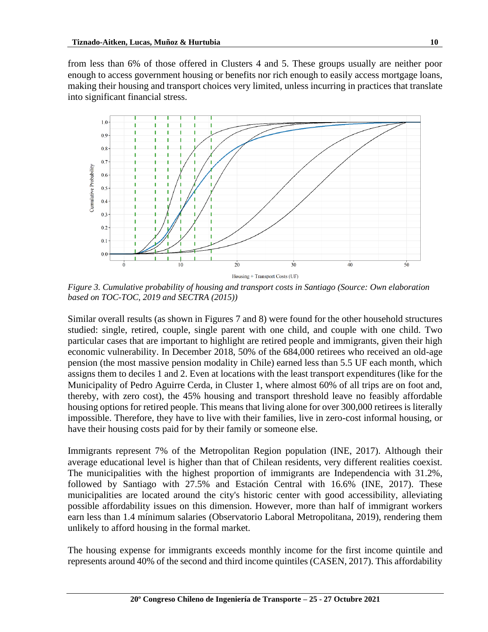from less than 6% of those offered in Clusters 4 and 5. These groups usually are neither poor enough to access government housing or benefits nor rich enough to easily access mortgage loans, making their housing and transport choices very limited, unless incurring in practices that translate into significant financial stress.



*Figure 3. Cumulative probability of housing and transport costs in Santiago (Source: Own elaboration based on TOC-TOC, 2019 and SECTRA (2015))*

Similar overall results (as shown in Figures 7 and 8) were found for the other household structures studied: single, retired, couple, single parent with one child, and couple with one child. Two particular cases that are important to highlight are retired people and immigrants, given their high economic vulnerability. In December 2018, 50% of the 684,000 retirees who received an old-age pension (the most massive pension modality in Chile) earned less than 5.5 UF each month, which assigns them to deciles 1 and 2. Even at locations with the least transport expenditures (like for the Municipality of Pedro Aguirre Cerda, in Cluster 1, where almost 60% of all trips are on foot and, thereby, with zero cost), the 45% housing and transport threshold leave no feasibly affordable housing options for retired people. This means that living alone for over 300,000 retirees is literally impossible. Therefore, they have to live with their families, live in zero-cost informal housing, or have their housing costs paid for by their family or someone else.

Immigrants represent 7% of the Metropolitan Region population (INE, 2017). Although their average educational level is higher than that of Chilean residents, very different realities coexist. The municipalities with the highest proportion of immigrants are Independencia with 31.2%, followed by Santiago with 27.5% and Estación Central with 16.6% (INE, 2017). These municipalities are located around the city's historic center with good accessibility, alleviating possible affordability issues on this dimension. However, more than half of immigrant workers earn less than 1.4 mínimum salaries (Observatorio Laboral Metropolitana, 2019), rendering them unlikely to afford housing in the formal market.

The housing expense for immigrants exceeds monthly income for the first income quintile and represents around 40% of the second and third income quintiles (CASEN, 2017). This affordability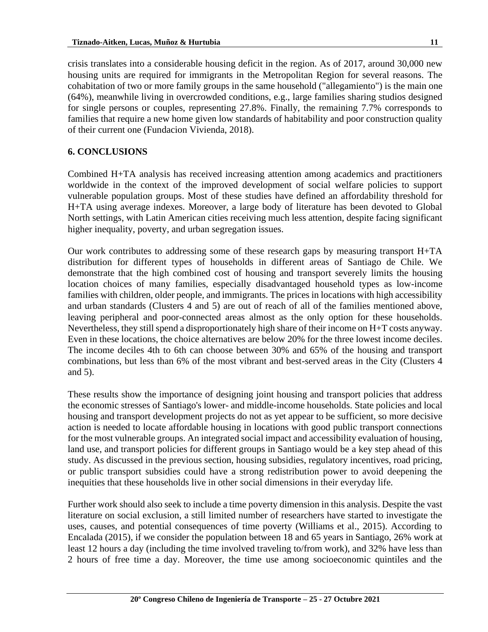crisis translates into a considerable housing deficit in the region. As of 2017, around 30,000 new housing units are required for immigrants in the Metropolitan Region for several reasons. The cohabitation of two or more family groups in the same household ("allegamiento") is the main one (64%), meanwhile living in overcrowded conditions, e.g., large families sharing studios designed for single persons or couples, representing 27.8%. Finally, the remaining 7.7% corresponds to families that require a new home given low standards of habitability and poor construction quality of their current one (Fundacion Vivienda, 2018).

# **6. CONCLUSIONS**

Combined H+TA analysis has received increasing attention among academics and practitioners worldwide in the context of the improved development of social welfare policies to support vulnerable population groups. Most of these studies have defined an affordability threshold for H+TA using average indexes. Moreover, a large body of literature has been devoted to Global North settings, with Latin American cities receiving much less attention, despite facing significant higher inequality, poverty, and urban segregation issues.

Our work contributes to addressing some of these research gaps by measuring transport H+TA distribution for different types of households in different areas of Santiago de Chile. We demonstrate that the high combined cost of housing and transport severely limits the housing location choices of many families, especially disadvantaged household types as low-income families with children, older people, and immigrants. The prices in locations with high accessibility and urban standards (Clusters 4 and 5) are out of reach of all of the families mentioned above, leaving peripheral and poor-connected areas almost as the only option for these households. Nevertheless, they still spend a disproportionately high share of their income on H+T costs anyway. Even in these locations, the choice alternatives are below 20% for the three lowest income deciles. The income deciles 4th to 6th can choose between 30% and 65% of the housing and transport combinations, but less than 6% of the most vibrant and best-served areas in the City (Clusters 4 and 5).

These results show the importance of designing joint housing and transport policies that address the economic stresses of Santiago's lower- and middle-income households. State policies and local housing and transport development projects do not as yet appear to be sufficient, so more decisive action is needed to locate affordable housing in locations with good public transport connections for the most vulnerable groups. An integrated social impact and accessibility evaluation of housing, land use, and transport policies for different groups in Santiago would be a key step ahead of this study. As discussed in the previous section, housing subsidies, regulatory incentives, road pricing, or public transport subsidies could have a strong redistribution power to avoid deepening the inequities that these households live in other social dimensions in their everyday life.

Further work should also seek to include a time poverty dimension in this analysis. Despite the vast literature on social exclusion, a still limited number of researchers have started to investigate the uses, causes, and potential consequences of time poverty (Williams et al., 2015). According to Encalada (2015), if we consider the population between 18 and 65 years in Santiago, 26% work at least 12 hours a day (including the time involved traveling to/from work), and 32% have less than 2 hours of free time a day. Moreover, the time use among socioeconomic quintiles and the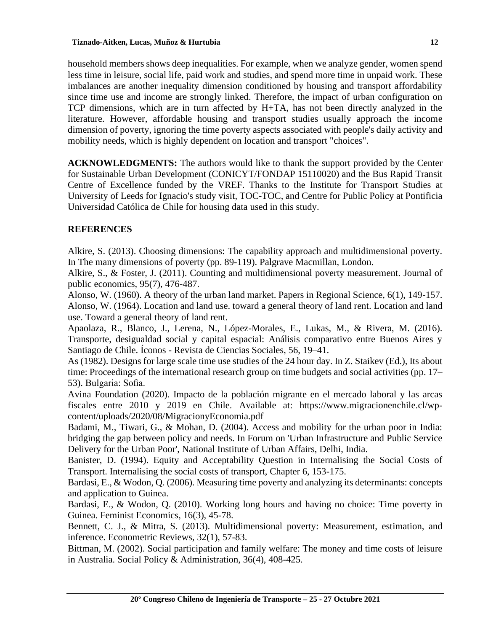household members shows deep inequalities. For example, when we analyze gender, women spend less time in leisure, social life, paid work and studies, and spend more time in unpaid work. These imbalances are another inequality dimension conditioned by housing and transport affordability since time use and income are strongly linked. Therefore, the impact of urban configuration on TCP dimensions, which are in turn affected by H+TA, has not been directly analyzed in the literature. However, affordable housing and transport studies usually approach the income dimension of poverty, ignoring the time poverty aspects associated with people's daily activity and mobility needs, which is highly dependent on location and transport "choices".

**ACKNOWLEDGMENTS:** The authors would like to thank the support provided by the Center for Sustainable Urban Development (CONICYT/FONDAP 15110020) and the Bus Rapid Transit Centre of Excellence funded by the VREF. Thanks to the Institute for Transport Studies at University of Leeds for Ignacio's study visit, TOC-TOC, and Centre for Public Policy at Pontificia Universidad Católica de Chile for housing data used in this study.

## **REFERENCES**

Alkire, S. (2013). Choosing dimensions: The capability approach and multidimensional poverty. In The many dimensions of poverty (pp. 89-119). Palgrave Macmillan, London.

Alkire, S., & Foster, J. (2011). Counting and multidimensional poverty measurement. Journal of public economics, 95(7), 476-487.

Alonso, W. (1960). A theory of the urban land market. Papers in Regional Science, 6(1), 149-157. Alonso, W. (1964). Location and land use. toward a general theory of land rent. Location and land use. Toward a general theory of land rent.

Apaolaza, R., Blanco, J., Lerena, N., López-Morales, E., Lukas, M., & Rivera, M. (2016). Transporte, desigualdad social y capital espacial: Análisis comparativo entre Buenos Aires y Santiago de Chile. Íconos - Revista de Ciencias Sociales, 56, 19–41.

As (1982). Designs for large scale time use studies of the 24 hour day. In Z. Staikev (Ed.), Its about time: Proceedings of the international research group on time budgets and social activities (pp. 17– 53). Bulgaria: Sofia.

Avina Foundation (2020). Impacto de la población migrante en el mercado laboral y las arcas fiscales entre 2010 y 2019 en Chile. Available at: https://www.migracionenchile.cl/wpcontent/uploads/2020/08/MigracionyEconomia.pdf

Badami, M., Tiwari, G., & Mohan, D. (2004). Access and mobility for the urban poor in India: bridging the gap between policy and needs. In Forum on 'Urban Infrastructure and Public Service Delivery for the Urban Poor', National Institute of Urban Affairs, Delhi, India.

Banister, D. (1994). Equity and Acceptability Question in Internalising the Social Costs of Transport. Internalising the social costs of transport, Chapter 6, 153-175.

Bardasi, E., & Wodon, Q. (2006). Measuring time poverty and analyzing its determinants: concepts and application to Guinea.

Bardasi, E., & Wodon, Q. (2010). Working long hours and having no choice: Time poverty in Guinea. Feminist Economics, 16(3), 45-78.

Bennett, C. J., & Mitra, S. (2013). Multidimensional poverty: Measurement, estimation, and inference. Econometric Reviews, 32(1), 57-83.

Bittman, M. (2002). Social participation and family welfare: The money and time costs of leisure in Australia. Social Policy & Administration, 36(4), 408-425.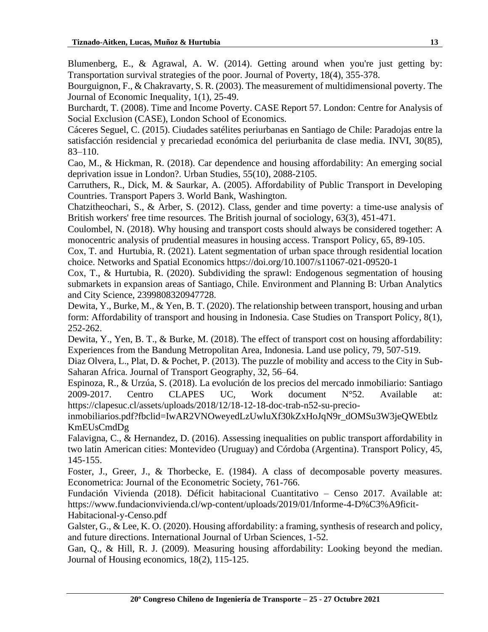Blumenberg, E., & Agrawal, A. W. (2014). Getting around when you're just getting by: Transportation survival strategies of the poor. Journal of Poverty, 18(4), 355-378.

Bourguignon, F., & Chakravarty, S. R. (2003). The measurement of multidimensional poverty. The Journal of Economic Inequality, 1(1), 25-49.

Burchardt, T. (2008). Time and Income Poverty. CASE Report 57. London: Centre for Analysis of Social Exclusion (CASE), London School of Economics.

Cáceres Seguel, C. (2015). Ciudades satélites periurbanas en Santiago de Chile: Paradojas entre la satisfacción residencial y precariedad económica del periurbanita de clase media. INVI, 30(85), 83–110.

Cao, M., & Hickman, R. (2018). Car dependence and housing affordability: An emerging social deprivation issue in London?. Urban Studies, 55(10), 2088-2105.

Carruthers, R., Dick, M. & Saurkar, A. (2005). Affordability of Public Transport in Developing Countries. Transport Papers 3. World Bank, Washington.

Chatzitheochari, S., & Arber, S. (2012). Class, gender and time poverty: a time‐use analysis of British workers' free time resources. The British journal of sociology, 63(3), 451-471.

Coulombel, N. (2018). Why housing and transport costs should always be considered together: A monocentric analysis of prudential measures in housing access. Transport Policy, 65, 89-105.

Cox, T. and Hurtubia, R. (2021). Latent segmentation of urban space through residential location choice. Networks and Spatial Economics https://doi.org/10.1007/s11067-021-09520-1

Cox, T., & Hurtubia, R. (2020). Subdividing the sprawl: Endogenous segmentation of housing submarkets in expansion areas of Santiago, Chile. Environment and Planning B: Urban Analytics and City Science, 2399808320947728.

Dewita, Y., Burke, M., & Yen, B. T. (2020). The relationship between transport, housing and urban form: Affordability of transport and housing in Indonesia. Case Studies on Transport Policy, 8(1), 252-262.

Dewita, Y., Yen, B. T., & Burke, M. (2018). The effect of transport cost on housing affordability: Experiences from the Bandung Metropolitan Area, Indonesia. Land use policy, 79, 507-519.

Diaz Olvera, L., Plat, D. & Pochet, P. (2013). The puzzle of mobility and access to the City in Sub-Saharan Africa. Journal of Transport Geography, 32, 56–64.

Espinoza, R., & Urzúa, S. (2018). La evolución de los precios del mercado inmobiliario: Santiago 2009-2017. Centro CLAPES UC, Work document N°52. Available at: https://clapesuc.cl/assets/uploads/2018/12/18-12-18-doc-trab-n52-su-precio-

inmobiliarios.pdf?fbclid=IwAR2VNOweyedLzUwluXf30kZxHoJqN9r\_dOMSu3W3jeQWEbtlz KmEUsCmdDg

Falavigna, C., & Hernandez, D. (2016). Assessing inequalities on public transport affordability in two latin American cities: Montevideo (Uruguay) and Córdoba (Argentina). Transport Policy, 45, 145-155.

Foster, J., Greer, J., & Thorbecke, E. (1984). A class of decomposable poverty measures. Econometrica: Journal of the Econometric Society, 761-766.

Fundación Vivienda (2018). Déficit habitacional Cuantitativo – Censo 2017. Available at: https://www.fundacionvivienda.cl/wp-content/uploads/2019/01/Informe-4-D%C3%A9ficit-Habitacional-y-Censo.pdf

Galster, G., & Lee, K. O. (2020). Housing affordability: a framing, synthesis of research and policy, and future directions. International Journal of Urban Sciences, 1-52.

Gan, Q., & Hill, R. J. (2009). Measuring housing affordability: Looking beyond the median. Journal of Housing economics, 18(2), 115-125.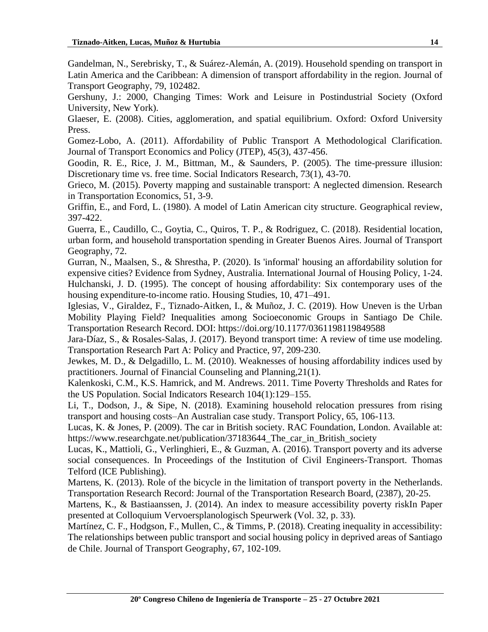Gandelman, N., Serebrisky, T., & Suárez-Alemán, A. (2019). Household spending on transport in Latin America and the Caribbean: A dimension of transport affordability in the region. Journal of Transport Geography, 79, 102482.

Gershuny, J.: 2000, Changing Times: Work and Leisure in Postindustrial Society (Oxford University, New York).

Glaeser, E. (2008). Cities, agglomeration, and spatial equilibrium. Oxford: Oxford University Press.

Gomez-Lobo, A. (2011). Affordability of Public Transport A Methodological Clarification. Journal of Transport Economics and Policy (JTEP), 45(3), 437-456.

Goodin, R. E., Rice, J. M., Bittman, M., & Saunders, P. (2005). The time-pressure illusion: Discretionary time vs. free time. Social Indicators Research, 73(1), 43-70.

Grieco, M. (2015). Poverty mapping and sustainable transport: A neglected dimension. Research in Transportation Economics, 51, 3-9.

Griffin, E., and Ford, L. (1980). A model of Latin American city structure. Geographical review, 397-422.

Guerra, E., Caudillo, C., Goytia, C., Quiros, T. P., & Rodriguez, C. (2018). Residential location, urban form, and household transportation spending in Greater Buenos Aires. Journal of Transport Geography, 72.

Gurran, N., Maalsen, S., & Shrestha, P. (2020). Is 'informal' housing an affordability solution for expensive cities? Evidence from Sydney, Australia. International Journal of Housing Policy, 1-24. Hulchanski, J. D. (1995). The concept of housing affordability: Six contemporary uses of the housing expenditure-to-income ratio. Housing Studies, 10, 471–491.

Iglesias, V., Giraldez, F., Tiznado-Aitken, I., & Muñoz, J. C. (2019). How Uneven is the Urban Mobility Playing Field? Inequalities among Socioeconomic Groups in Santiago De Chile. Transportation Research Record. DOI: https://doi.org/10.1177/0361198119849588

Jara-Díaz, S., & Rosales-Salas, J. (2017). Beyond transport time: A review of time use modeling. Transportation Research Part A: Policy and Practice, 97, 209-230.

Jewkes, M. D., & Delgadillo, L. M. (2010). Weaknesses of housing affordability indices used by practitioners. Journal of Financial Counseling and Planning,21(1).

Kalenkoski, C.M., K.S. Hamrick, and M. Andrews. 2011. Time Poverty Thresholds and Rates for the US Population. Social Indicators Research 104(1):129–155.

Li, T., Dodson, J., & Sipe, N. (2018). Examining household relocation pressures from rising transport and housing costs–An Australian case study. Transport Policy, 65, 106-113.

Lucas, K. & Jones, P. (2009). The car in British society. RAC Foundation, London. Available at: https://www.researchgate.net/publication/37183644\_The\_car\_in\_British\_society

Lucas, K., Mattioli, G., Verlinghieri, E., & Guzman, A. (2016). Transport poverty and its adverse social consequences. In Proceedings of the Institution of Civil Engineers-Transport. Thomas Telford (ICE Publishing).

Martens, K. (2013). Role of the bicycle in the limitation of transport poverty in the Netherlands. Transportation Research Record: Journal of the Transportation Research Board, (2387), 20-25.

Martens, K., & Bastiaanssen, J. (2014). An index to measure accessibility poverty riskIn Paper presented at Colloquium Vervoersplanologisch Speurwerk (Vol. 32, p. 33).

Martínez, C. F., Hodgson, F., Mullen, C., & Timms, P. (2018). Creating inequality in accessibility: The relationships between public transport and social housing policy in deprived areas of Santiago de Chile. Journal of Transport Geography, 67, 102-109.